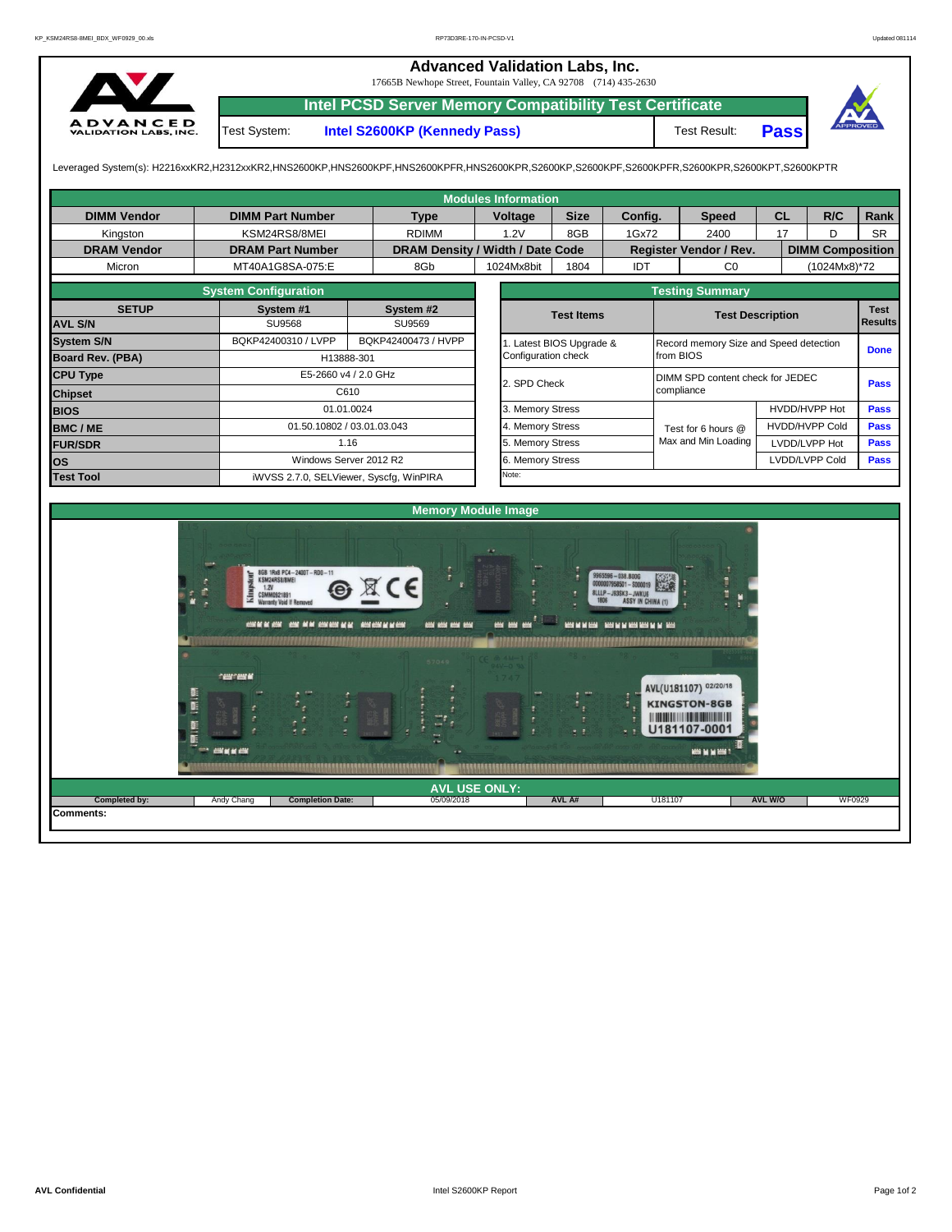## **Advanced Validation Labs, Inc.**

17665B Newhope Street, Fountain Valley, CA 92708 (714) 435-2630



**Intel PCSD Server Memory Compatibility Test Certificate**

Test System: **Intel S2600KP (Kennedy Pass)** Test Result:

**Pass**



Leveraged System(s): H2216xxKR2,H2312xxKR2,HNS2600KP,HNS2600KPF,HNS2600KPFR,HNS2600KPR,S2600KP,S2600KPF,S2600KPFR,S2600KPR,S2600KPT,S2600KPTR

| <b>Modules Information</b> |                                                                                                                                                                                                                                                                                                                                            |                     |                                    |         |                                  |                        |                                                                                                                                                     |                                                                    |                                                                               |                         |                |               |  |  |
|----------------------------|--------------------------------------------------------------------------------------------------------------------------------------------------------------------------------------------------------------------------------------------------------------------------------------------------------------------------------------------|---------------------|------------------------------------|---------|----------------------------------|------------------------|-----------------------------------------------------------------------------------------------------------------------------------------------------|--------------------------------------------------------------------|-------------------------------------------------------------------------------|-------------------------|----------------|---------------|--|--|
| <b>DIMM Vendor</b>         | <b>DIMM Part Number</b>                                                                                                                                                                                                                                                                                                                    |                     | <b>Type</b>                        | Voltage |                                  | <b>Size</b><br>Config. |                                                                                                                                                     | <b>Speed</b>                                                       |                                                                               | <b>CL</b>               | R/C            | Rank          |  |  |
| Kingston                   | KSM24RS8/8MEI                                                                                                                                                                                                                                                                                                                              |                     | <b>RDIMM</b>                       | 1.2V    |                                  | 8GB                    | 1Gx72                                                                                                                                               |                                                                    | 2400                                                                          |                         | 17<br>D        | <b>SR</b>     |  |  |
| <b>DRAM Vendor</b>         | <b>DRAM Part Number</b>                                                                                                                                                                                                                                                                                                                    |                     | DRAM Density / Width / Date Code   |         |                                  |                        |                                                                                                                                                     |                                                                    | Register Vendor / Rev.                                                        | <b>DIMM Composition</b> |                |               |  |  |
| Micron                     | MT40A1G8SA-075:E                                                                                                                                                                                                                                                                                                                           |                     | 8Gb                                |         | 1024Mx8bit<br>1804               |                        |                                                                                                                                                     | <b>IDT</b>                                                         | CO<br>(1024Mx8)*72                                                            |                         |                |               |  |  |
|                            | <b>System Configuration</b>                                                                                                                                                                                                                                                                                                                |                     |                                    |         |                                  |                        |                                                                                                                                                     | <b>Testing Summary</b>                                             |                                                                               |                         |                |               |  |  |
| <b>SETUP</b>               | System #1                                                                                                                                                                                                                                                                                                                                  |                     | System #2                          |         | <b>Test Items</b>                |                        |                                                                                                                                                     |                                                                    | <b>Test</b>                                                                   |                         |                |               |  |  |
| <b>AVL S/N</b>             | <b>SU9568</b>                                                                                                                                                                                                                                                                                                                              |                     | SU9569                             |         |                                  |                        |                                                                                                                                                     |                                                                    | <b>Results</b>                                                                |                         |                |               |  |  |
| <b>System S/N</b>          | BQKP42400310 / LVPP                                                                                                                                                                                                                                                                                                                        | BQKP42400473 / HVPP |                                    |         |                                  |                        |                                                                                                                                                     | 1. Latest BIOS Upgrade &<br>Record memory Size and Speed detection |                                                                               |                         |                |               |  |  |
| Board Rev. (PBA)           |                                                                                                                                                                                                                                                                                                                                            | H13888-301          |                                    |         | Configuration check              |                        |                                                                                                                                                     | from BIOS                                                          |                                                                               |                         | <b>Done</b>    |               |  |  |
| <b>CPU Type</b>            | E5-2660 v4 / 2.0 GHz                                                                                                                                                                                                                                                                                                                       |                     |                                    |         | DIMM SPD content check for JEDEC |                        |                                                                                                                                                     |                                                                    |                                                                               |                         |                | <b>Pass</b>   |  |  |
| <b>Chipset</b>             |                                                                                                                                                                                                                                                                                                                                            | C610                |                                    |         | 2. SPD Check<br>compliance       |                        |                                                                                                                                                     |                                                                    |                                                                               |                         |                |               |  |  |
| <b>BIOS</b>                |                                                                                                                                                                                                                                                                                                                                            | 01.01.0024          |                                    |         | 3. Memory Stress                 |                        |                                                                                                                                                     |                                                                    |                                                                               |                         | HVDD/HVPP Hot  |               |  |  |
| <b>BMC/ME</b>              | 01.50.10802 / 03.01.03.043                                                                                                                                                                                                                                                                                                                 |                     |                                    |         | 4. Memory Stress                 |                        |                                                                                                                                                     | Test for 6 hours @                                                 |                                                                               | <b>HVDD/HVPP Cold</b>   | Pass           |               |  |  |
| <b>FUR/SDR</b>             |                                                                                                                                                                                                                                                                                                                                            | 1.16                |                                    |         | 5. Memory Stress                 |                        |                                                                                                                                                     |                                                                    | Max and Min Loading                                                           | LVDD/LVPP Hot           | Pass           |               |  |  |
| <b>los</b>                 | Windows Server 2012 R2                                                                                                                                                                                                                                                                                                                     |                     |                                    |         | 6. Memory Stress                 |                        |                                                                                                                                                     |                                                                    |                                                                               |                         | LVDD/LVPP Cold | Pass          |  |  |
| <b>Test Tool</b>           | iWVSS 2.7.0, SELViewer, Syscfq, WinPIRA                                                                                                                                                                                                                                                                                                    |                     |                                    |         | Note:                            |                        |                                                                                                                                                     |                                                                    |                                                                               |                         |                |               |  |  |
|                            |                                                                                                                                                                                                                                                                                                                                            |                     |                                    |         |                                  |                        |                                                                                                                                                     |                                                                    |                                                                               |                         |                |               |  |  |
| <b>Memory Module Image</b> |                                                                                                                                                                                                                                                                                                                                            |                     |                                    |         |                                  |                        |                                                                                                                                                     |                                                                    |                                                                               |                         |                |               |  |  |
|                            | 8GB 1Rx8 PC4-2400T-RD0-11<br>KSM24RS8/8MEI<br>G<br>1.2V<br>T.<br>CSMM0921891<br>Warranty Void If Removed<br>CONFIDENTIAL CONFIDENTIAL CONFIDENTIAL CONFIDENTIAL CONFIDENTIAL CONFIDENTIAL CONFIDENTIAL CONFIDENTIAL CONFIDENTIAL CONFIDENTIAL CONFIDENTIAL CONFIDENTIAL CONFIDENTIAL CONFIDENTIAL CONFIDENTIAL CONFIDENTIAL CONFIDENTIAL C |                     | <b>AND AND AND AND</b>             |         | <b>HOS MAY MOV</b>               |                        | 9965596-038.BOOG<br>0000007958501 - \$000019<br>8LLLP-J93SK3-JWKU6<br><b>ASSY IN CHINA (1)</b><br><b>RESERVATIONS - RESERVATION RESERVED BY RES</b> |                                                                    |                                                                               |                         |                |               |  |  |
|                            | <b>CONCORD M</b><br>, c<br><b>THE CONSUMER AND INCOME</b>                                                                                                                                                                                                                                                                                  |                     |                                    |         | ÷                                | r.                     |                                                                                                                                                     |                                                                    | AVL(U181107) 02/20/18<br><b>KINGSTON-8GB</b><br>U181107-0001<br>MOS M M MOST. |                         |                |               |  |  |
| Completed by:              | <b>Completion Date:</b><br>Andy Chang                                                                                                                                                                                                                                                                                                      |                     | <b>AVL USE ONLY:</b><br>05/09/2018 |         |                                  | AVL A#                 |                                                                                                                                                     | U181107                                                            |                                                                               | <b>AVL W/O</b>          |                | <b>WF0929</b> |  |  |
| Comments:                  |                                                                                                                                                                                                                                                                                                                                            |                     |                                    |         |                                  |                        |                                                                                                                                                     |                                                                    |                                                                               |                         |                |               |  |  |